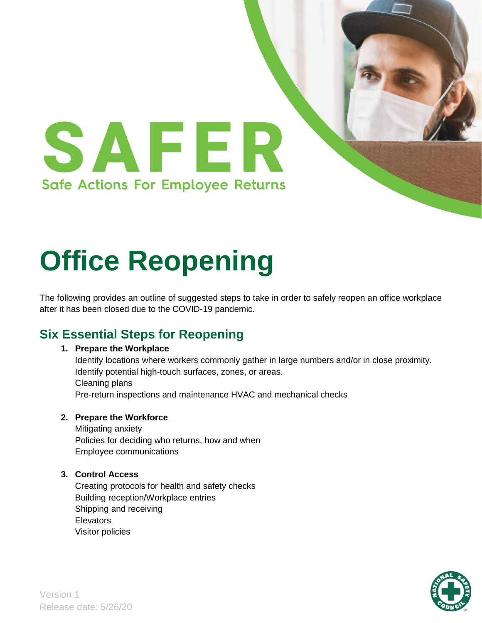

# **Office Reopening**

The following provides an outline of suggested steps to take in order to safely reopen an office workplace after it has been closed due to the COVID-19 pandemic.

## **Six Essential Steps for Reopening**

#### **1. Prepare the Workplace**

Identify locations where workers commonly gather in large numbers and/or in close proximity. Identify potential high-touch surfaces, zones, or areas. Cleaning plans Pre-return inspections and maintenance HVAC and mechanical checks

#### **2. Prepare the Workforce**

Mitigating anxiety Policies for deciding who returns, how and when Employee communications

#### **3. Control Access**

Creating protocols for health and safety checks Building reception/Workplace entries Shipping and receiving **Elevators** Visitor policies

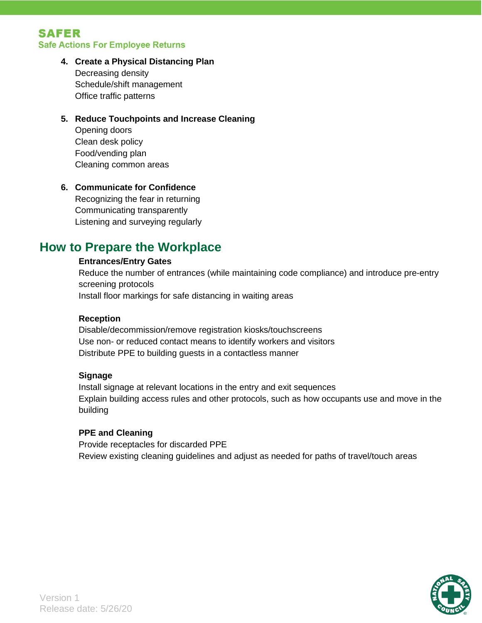#### **SAFER Safe Actions For Employee Returns**

#### **4. Create a Physical Distancing Plan**

Decreasing density Schedule/shift management Office traffic patterns

#### **5. Reduce Touchpoints and Increase Cleaning**

Opening doors Clean desk policy Food/vending plan Cleaning common areas

#### **6. Communicate for Confidence**

Recognizing the fear in returning Communicating transparently Listening and surveying regularly

### **How to Prepare the Workplace**

#### **Entrances/Entry Gates**

Reduce the number of entrances (while maintaining code compliance) and introduce pre-entry screening protocols Install floor markings for safe distancing in waiting areas

#### **Reception**

Disable/decommission/remove registration kiosks/touchscreens Use non- or reduced contact means to identify workers and visitors Distribute PPE to building guests in a contactless manner

#### **Signage**

Install signage at relevant locations in the entry and exit sequences Explain building access rules and other protocols, such as how occupants use and move in the building

#### **PPE and Cleaning**

Provide receptacles for discarded PPE Review existing cleaning guidelines and adjust as needed for paths of travel/touch areas